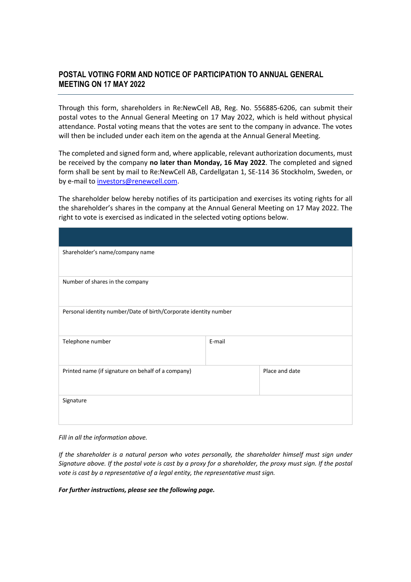## **POSTAL VOTING FORM AND NOTICE OF PARTICIPATION TO ANNUAL GENERAL MEETING ON 17 MAY 2022**

Through this form, shareholders in Re:NewCell AB, Reg. No. 556885-6206, can submit their postal votes to the Annual General Meeting on 17 May 2022, which is held without physical attendance. Postal voting means that the votes are sent to the company in advance. The votes will then be included under each item on the agenda at the Annual General Meeting.

The completed and signed form and, where applicable, relevant authorization documents, must be received by the company **no later than Monday, 16 May 2022**. The completed and signed form shall be sent by mail to Re:NewCell AB, Cardellgatan 1, SE-114 36 Stockholm, Sweden, or by e-mail to investors@renewcell.com.

The shareholder below hereby notifies of its participation and exercises its voting rights for all the shareholder's shares in the company at the Annual General Meeting on 17 May 2022. The right to vote is exercised as indicated in the selected voting options below.

| Shareholder's name/company name                                  |        |                |  |  |
|------------------------------------------------------------------|--------|----------------|--|--|
|                                                                  |        |                |  |  |
| Number of shares in the company                                  |        |                |  |  |
|                                                                  |        |                |  |  |
| Personal identity number/Date of birth/Corporate identity number |        |                |  |  |
| Telephone number                                                 | E-mail |                |  |  |
| Printed name (if signature on behalf of a company)               |        | Place and date |  |  |
| Signature                                                        |        |                |  |  |

*Fill in all the information above.*

*If the shareholder is a natural person who votes personally, the shareholder himself must sign under Signature above. If the postal vote is cast by a proxy for a shareholder, the proxy must sign. If the postal vote is cast by a representative of a legal entity, the representative must sign.*

*For further instructions, please see the following page.*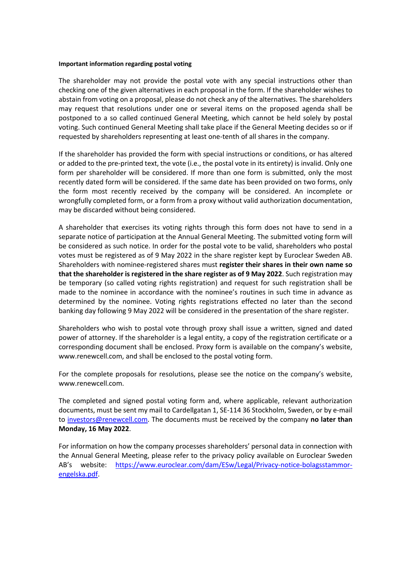## **Important information regarding postal voting**

The shareholder may not provide the postal vote with any special instructions other than checking one of the given alternatives in each proposal in the form. If the shareholder wishes to abstain from voting on a proposal, please do not check any of the alternatives. The shareholders may request that resolutions under one or several items on the proposed agenda shall be postponed to a so called continued General Meeting, which cannot be held solely by postal voting. Such continued General Meeting shall take place if the General Meeting decides so or if requested by shareholders representing at least one-tenth of all shares in the company.

If the shareholder has provided the form with special instructions or conditions, or has altered or added to the pre-printed text, the vote (i.e., the postal vote in its entirety) is invalid. Only one form per shareholder will be considered. If more than one form is submitted, only the most recently dated form will be considered. If the same date has been provided on two forms, only the form most recently received by the company will be considered. An incomplete or wrongfully completed form, or a form from a proxy without valid authorization documentation, may be discarded without being considered.

A shareholder that exercises its voting rights through this form does not have to send in a separate notice of participation at the Annual General Meeting. The submitted voting form will be considered as such notice. In order for the postal vote to be valid, shareholders who postal votes must be registered as of 9 May 2022 in the share register kept by Euroclear Sweden AB. Shareholders with nominee-registered shares must **register their shares in their own name so that the shareholder is registered in the share register as of 9 May 2022**. Such registration may be temporary (so called voting rights registration) and request for such registration shall be made to the nominee in accordance with the nominee's routines in such time in advance as determined by the nominee. Voting rights registrations effected no later than the second banking day following 9 May 2022 will be considered in the presentation of the share register.

Shareholders who wish to postal vote through proxy shall issue a written, signed and dated power of attorney. If the shareholder is a legal entity, a copy of the registration certificate or a corresponding document shall be enclosed. Proxy form is available on the company's website, www.renewcell.com, and shall be enclosed to the postal voting form.

For the complete proposals for resolutions, please see the notice on the company's website, www.renewcell.com.

The completed and signed postal voting form and, where applicable, relevant authorization documents, must be sent my mail to Cardellgatan 1, SE-114 36 Stockholm, Sweden, or by e-mail to investors@renewcell.com. The documents must be received by the company **no later than Monday, 16 May 2022**.

For information on how the company processes shareholders' personal data in connection with the Annual General Meeting, please refer to the privacy policy available on Euroclear Sweden AB's website: https://www.euroclear.com/dam/ESw/Legal/Privacy-notice-bolagsstammorengelska.pdf.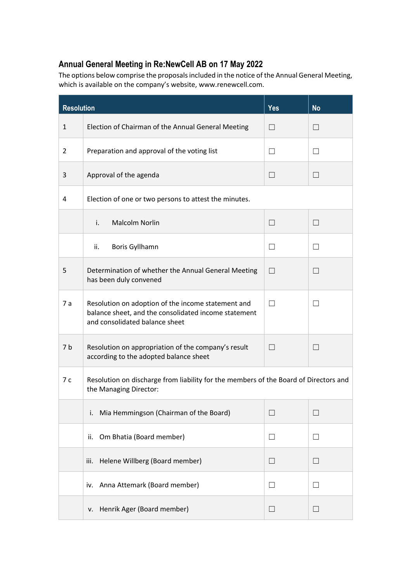## **Annual General Meeting in Re:NewCell AB on 17 May 2022**

The options below comprise the proposals included in the notice of the Annual General Meeting, which is available on the company's website, www.renewcell.com.

| <b>Resolution</b> |                                                                                                                                              | <b>Yes</b>        | <b>No</b> |
|-------------------|----------------------------------------------------------------------------------------------------------------------------------------------|-------------------|-----------|
| $\mathbf{1}$      | Election of Chairman of the Annual General Meeting                                                                                           | $\vert \ \ \vert$ |           |
| 2                 | Preparation and approval of the voting list                                                                                                  | $\vert \ \ \vert$ | $\Box$    |
| 3                 | Approval of the agenda                                                                                                                       | $\Box$            | $\Box$    |
| 4                 | Election of one or two persons to attest the minutes.                                                                                        |                   |           |
|                   | <b>Malcolm Norlin</b><br>i.                                                                                                                  | $\vert \ \ \vert$ | $\Box$    |
|                   | ii.<br><b>Boris Gyllhamn</b>                                                                                                                 | $\Box$            | $\Box$    |
| 5                 | Determination of whether the Annual General Meeting<br>has been duly convened                                                                | $\vert \ \ \vert$ | $\Box$    |
| 7a                | Resolution on adoption of the income statement and<br>balance sheet, and the consolidated income statement<br>and consolidated balance sheet | $\vert \ \ \vert$ | $\Box$    |
| 7 <sub>b</sub>    | Resolution on appropriation of the company's result<br>according to the adopted balance sheet                                                | $\blacksquare$    | $\Box$    |
| 7c                | Resolution on discharge from liability for the members of the Board of Directors and<br>the Managing Director:                               |                   |           |
|                   | Mia Hemmingson (Chairman of the Board)<br>i.                                                                                                 | $\vert \ \ \vert$ | $\Box$    |
|                   | Om Bhatia (Board member)<br>ii.                                                                                                              | $\Box$            | $\Box$    |
|                   | Helene Willberg (Board member)<br>iii.                                                                                                       | $\Box$            | $\Box$    |
|                   | Anna Attemark (Board member)<br>iv.                                                                                                          | $\Box$            | $\Box$    |
|                   | Henrik Ager (Board member)<br>۷.                                                                                                             | $\Box$            | $\Box$    |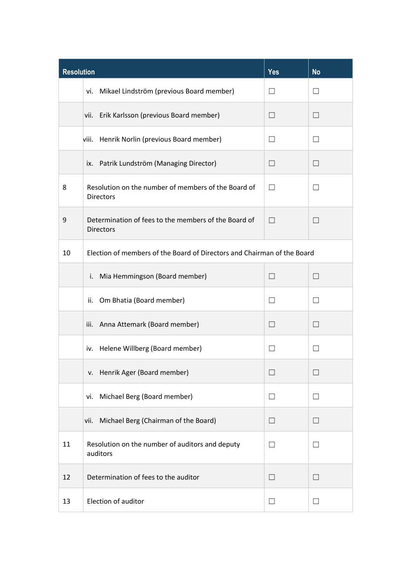| <b>Resolution</b> |                                                                          | <b>Yes</b>        | <b>No</b>                |  |
|-------------------|--------------------------------------------------------------------------|-------------------|--------------------------|--|
|                   | vi. Mikael Lindström (previous Board member)                             | $\perp$           | $\Box$                   |  |
|                   | Erik Karlsson (previous Board member)<br>vii.                            | $\Box$            | $\Box$                   |  |
|                   | Henrik Norlin (previous Board member)<br>viii.                           | $\perp$           | $\overline{\phantom{0}}$ |  |
|                   | Patrik Lundström (Managing Director)<br>ix.                              |                   | $\blacksquare$           |  |
| 8                 | Resolution on the number of members of the Board of<br><b>Directors</b>  | $\perp$           | $\Box$                   |  |
| 9                 | Determination of fees to the members of the Board of<br><b>Directors</b> | $\perp$           | $\Box$                   |  |
| 10                | Election of members of the Board of Directors and Chairman of the Board  |                   |                          |  |
|                   | Mia Hemmingson (Board member)<br>i.                                      | $\Box$            | $\blacksquare$           |  |
|                   | Om Bhatia (Board member)<br>ii.                                          |                   | $\overline{\phantom{0}}$ |  |
|                   | iii. Anna Attemark (Board member)                                        | П                 | П                        |  |
|                   | iv. Helene Willberg (Board member)                                       | $\perp$           | $\overline{\phantom{0}}$ |  |
|                   | v. Henrik Ager (Board member)                                            |                   |                          |  |
|                   | Michael Berg (Board member)<br>vi.                                       | $\Box$            | $\vert \ \ \vert$        |  |
|                   | Michael Berg (Chairman of the Board)<br>vii.                             | $\vert \ \ \vert$ | $\blacksquare$           |  |
| 11                | Resolution on the number of auditors and deputy<br>auditors              | П                 | $\Box$                   |  |
| 12                | Determination of fees to the auditor                                     | $\Box$            | $\Box$                   |  |
| 13                | Election of auditor                                                      | $\Box$            | $\Box$                   |  |